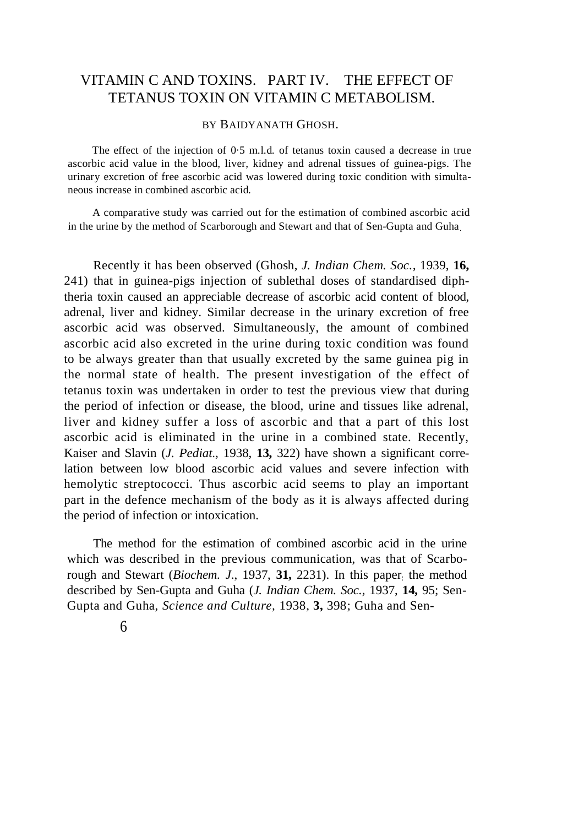# VITAMIN C AND TOXINS. PART IV. THE EFFECT OF TETANUS TOXIN ON VITAMIN C METABOLISM.

# BY BAIDYANATH GHOSH.

The effect of the injection of 0·5 m.l.d. of tetanus toxin caused a decrease in true ascorbic acid value in the blood, liver, kidney and adrenal tissues of guinea-pigs. The urinary excretion of free ascorbic acid was lowered during toxic condition with simultaneous increase in combined ascorbic acid.

A comparative study was carried out for the estimation of combined ascorbic acid in the urine by the method of Scarborough and Stewart and that of Sen-Gupta and Guha.

Recently it has been observed (Ghosh, *J. Indian Chem. Soc.,* 1939, **16,** 241) that in guinea-pigs injection of sublethal doses of standardised diphtheria toxin caused an appreciable decrease of ascorbic acid content of blood, adrenal, liver and kidney. Similar decrease in the urinary excretion of free ascorbic acid was observed. Simultaneously, the amount of combined ascorbic acid also excreted in the urine during toxic condition was found to be always greater than that usually excreted by the same guinea pig in the normal state of health. The present investigation of the effect of tetanus toxin was undertaken in order to test the previous view that during the period of infection or disease, the blood, urine and tissues like adrenal, liver and kidney suffer a loss of ascorbic and that a part of this lost ascorbic acid is eliminated in the urine in a combined state. Recently, Kaiser and Slavin (*J. Pediat.,* 1938, **13,** 322) have shown a significant correlation between low blood ascorbic acid values and severe infection with hemolytic streptococci. Thus ascorbic acid seems to play an important part in the defence mechanism of the body as it is always affected during the period of infection or intoxication.

The method for the estimation of combined ascorbic acid in the urine which was described in the previous communication, was that of Scarborough and Stewart (*Biochem. J.*, 1937, 31, 2231). In this paper the method described by Sen-Gupta and Guha (*J. Indian Chem. Soc.,* 1937, **14,** 95; Sen-Gupta and Guha, *Science and Culture,* 1938, **3,** 398; Guha and Sen-

6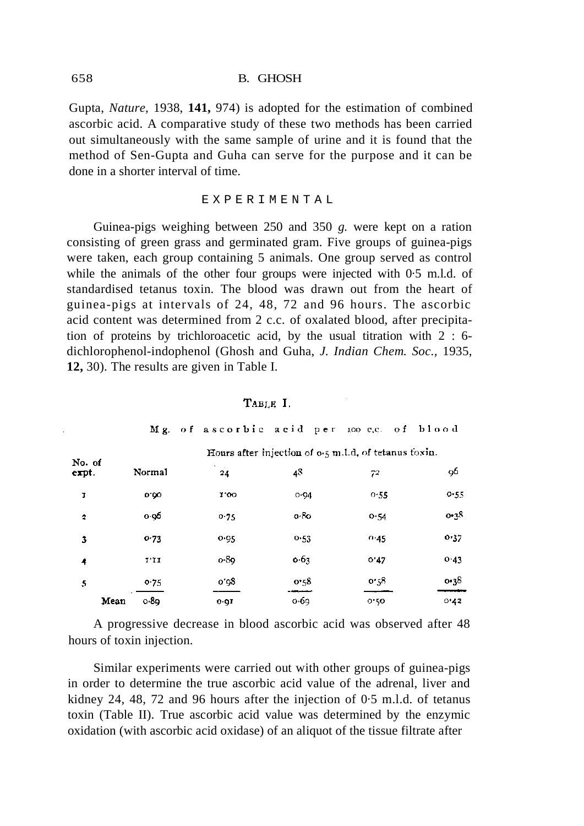Gupta, *Nature,* 1938, **141,** 974) is adopted for the estimation of combined ascorbic acid. A comparative study of these two methods has been carried out simultaneously with the same sample of urine and it is found that the method of Sen-Gupta and Guha can serve for the purpose and it can be done in a shorter interval of time.

#### EXPERIMENTAL

Guinea-pigs weighing between 250 and 350 *g.* were kept on a ration consisting of green grass and germinated gram. Five groups of guinea-pigs were taken, each group containing 5 animals. One group served as control while the animals of the other four groups were injected with 0.5 m.l.d. of standardised tetanus toxin. The blood was drawn out from the heart of guinea-pigs at intervals of 24, 48, 72 and 96 hours. The ascorbic acid content was determined from 2 c.c. of oxalated blood, after precipitation of proteins by trichloroacetic acid, by the usual titration with 2 : 6 dichlorophenol-indophenol (Ghosh and Guha, *J. Indian Chem. Soc.,* 1935, **12,** 30). The results are given in Table I.

|                 |               | Hours after injection of $0.5$ m.l.d. of tetanus toxin. |                |      |                  |  |  |  |
|-----------------|---------------|---------------------------------------------------------|----------------|------|------------------|--|--|--|
| No. of<br>expt. | Normal        | $\sim$<br>24                                            | 4 <sup>8</sup> | 72   | 96               |  |  |  |
| I               | 0.00          | 1.00                                                    | $0 - 94$       | 0.55 | 0.55             |  |  |  |
| 2               | 0.96          | 0.75                                                    | 0.80           | O.54 | 0.3 <sup>8</sup> |  |  |  |
| 3               | 0.73          | 0.95                                                    | 0.53           | 0.45 | 0.37             |  |  |  |
| 4               | $I^{\star}II$ | $0 - 89$                                                | 0.63           | 0.47 | 0.43             |  |  |  |
| 5               | 0.75          | 0'98                                                    | 0.58           | 0.58 | 0.38             |  |  |  |
| Mean            | 0.89          | 0.91                                                    | 0.69           | 0.50 | 0.42             |  |  |  |

#### TABLE I.

Mg. of ascorbic acid per 100 e.c. of blood

A progressive decrease in blood ascorbic acid was observed after 48 hours of toxin injection.

Similar experiments were carried out with other groups of guinea-pigs in order to determine the true ascorbic acid value of the adrenal, liver and kidney 24, 48, 72 and 96 hours after the injection of 0·5 m.l.d. of tetanus toxin (Table II). True ascorbic acid value was determined by the enzymic oxidation (with ascorbic acid oxidase) of an aliquot of the tissue filtrate after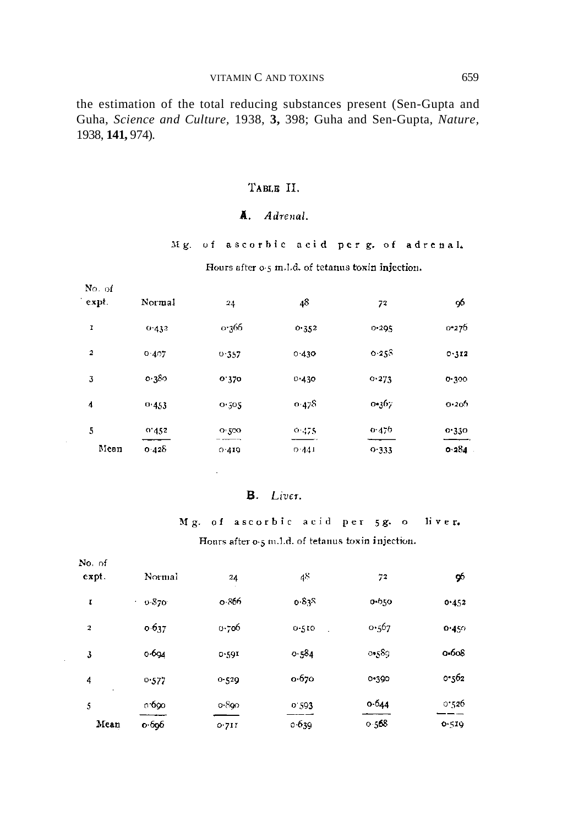the estimation of the total reducing substances present (Sen-Gupta and Guha, *Science and Culture,* 1938, **3,** 398; Guha and Sen-Gupta, *Nature,* 1938, **141,** 974).

# ТАВLЕ II.

# A. Adrenal.

Mg. of ascorbic acid per g. of adrenal.

Hours after 0.5 m.l.d. of tetanus toxin injection.

| No. of<br>expt. | Normal | 24    | 48    | 72    | 96    |
|-----------------|--------|-------|-------|-------|-------|
| I               | 0.432  | 0.366 | 0.352 | 0.295 | 0.276 |
| 2               | 0.407  | 0.357 | 0.430 | 0.25S | 0.312 |
| 3               | 0.380  | 0.320 | 0.430 | 0.273 | 0.300 |
| 4               | 0.453  | 0.505 | 0.478 | 0.367 | 0.206 |
| 5               | 0'452  | 0.500 | 0.475 | 0.470 | 0.330 |
| Mean            | 0.428  | 0.419 | 0.441 | 0.333 | 0.284 |

### B. Liver.

Mg. of ascorbic acid per 5g. o li v e r. Hours after o.5 m.1.d. of tetanus toxin injection.

| No. of   |             |           |       |       |           |
|----------|-------------|-----------|-------|-------|-----------|
| $expt$ . | Normal      | 24        | 48    | 72    | 96        |
| 1        | 0.370<br>х. | o 866     | 0.835 | 0-650 | 0.452     |
| 2        | 0.637       | 0.706     | 0.510 | 0.567 | 0.450     |
| 3        | 0.694       | 0.591     | 0.584 | 0.589 | $0 - 608$ |
| 4        | 0.577       | $0 - 529$ | 0.670 | 0.390 | 0.562     |
| 5        | 0.690       | 0.890     | 0.593 | 0.644 | 0.526     |
| Mean     | 0.696       | 0.711     | 0.639 | 0.568 | 0.519     |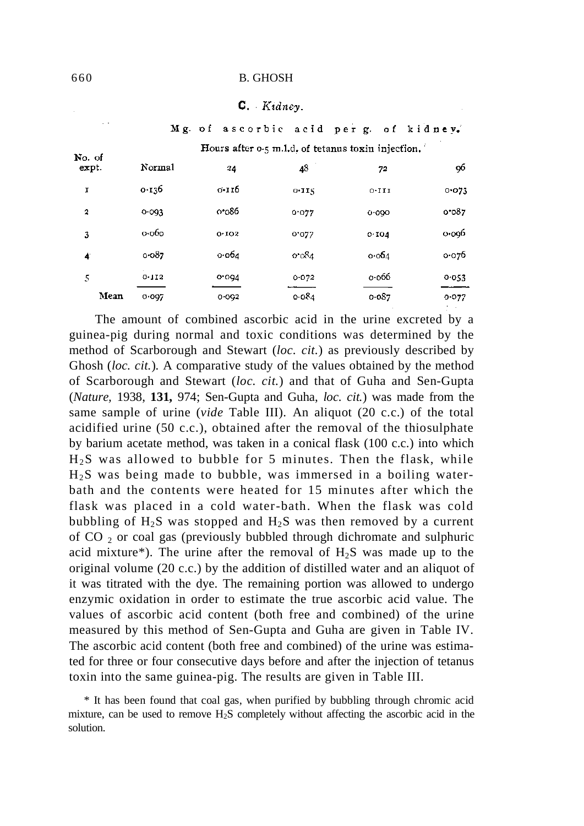#### 660 B. GHOSH

#### $C.$  Kidney.

|  | Mg. of ascorbic acid per g. of kidney. |  |  |  |  |
|--|----------------------------------------|--|--|--|--|
|--|----------------------------------------|--|--|--|--|

| No. of | Hours after 0.5 m.l.d. of tetanus toxin injection. |       |       |                 |       |  |  |
|--------|----------------------------------------------------|-------|-------|-----------------|-------|--|--|
| expt.  | Normal                                             | 24    | 48    | 72              | 96    |  |  |
| I      | 0.136                                              | 0.II6 | 0.115 | 0.111           | 0.073 |  |  |
| 2      | 0.093                                              | 0.086 | 0.077 | 0.000           | 0.067 |  |  |
| 3      | $o$ $o$ $o$                                        | 0.102 | 0.077 | 0.104           | o.og6 |  |  |
| 4      | 0.087                                              | 0.064 | 0.084 | $\circ$ -00 $4$ | 0.076 |  |  |
| 5      | 0.112                                              | 0.004 | 0.072 | 0.066           | 0.053 |  |  |
| Mean   | 0.097                                              | 0.092 | 0.084 | $0 - 087$       | 0.077 |  |  |

The amount of combined ascorbic acid in the urine excreted by a guinea-pig during normal and toxic conditions was determined by the method of Scarborough and Stewart (*loc. cit.*) as previously described by Ghosh (*loc. cit.*)*.* A comparative study of the values obtained by the method of Scarborough and Stewart (*loc. cit.*) and that of Guha and Sen-Gupta (*Nature,* 1938, **131,** 974; Sen-Gupta and Guha, *loc. cit.*) was made from the same sample of urine (*vide* Table III). An aliquot (20 c.c.) of the total acidified urine (50 c.c.), obtained after the removal of the thiosulphate by barium acetate method, was taken in a conical flask (100 c.c.) into which  $H<sub>2</sub>S$  was allowed to bubble for 5 minutes. Then the flask, while  $H<sub>2</sub>S$  was being made to bubble, was immersed in a boiling waterbath and the contents were heated for 15 minutes after which the flask was placed in a cold water-bath. When the flask was cold bubbling of  $H_2S$  was stopped and  $H_2S$  was then removed by a current of CO <sup>2</sup> or coal gas (previously bubbled through dichromate and sulphuric acid mixture\*). The urine after the removal of  $H_2S$  was made up to the original volume (20 c.c.) by the addition of distilled water and an aliquot of it was titrated with the dye. The remaining portion was allowed to undergo enzymic oxidation in order to estimate the true ascorbic acid value. The values of ascorbic acid content (both free and combined) of the urine measured by this method of Sen-Gupta and Guha are given in Table IV. The ascorbic acid content (both free and combined) of the urine was estimated for three or four consecutive days before and after the injection of tetanus toxin into the same guinea-pig. The results are given in Table III.

 $\mathbb{Z}^{\times}$ 

<sup>\*</sup> It has been found that coal gas, when purified by bubbling through chromic acid mixture, can be used to remove  $H_2S$  completely without affecting the ascorbic acid in the solution.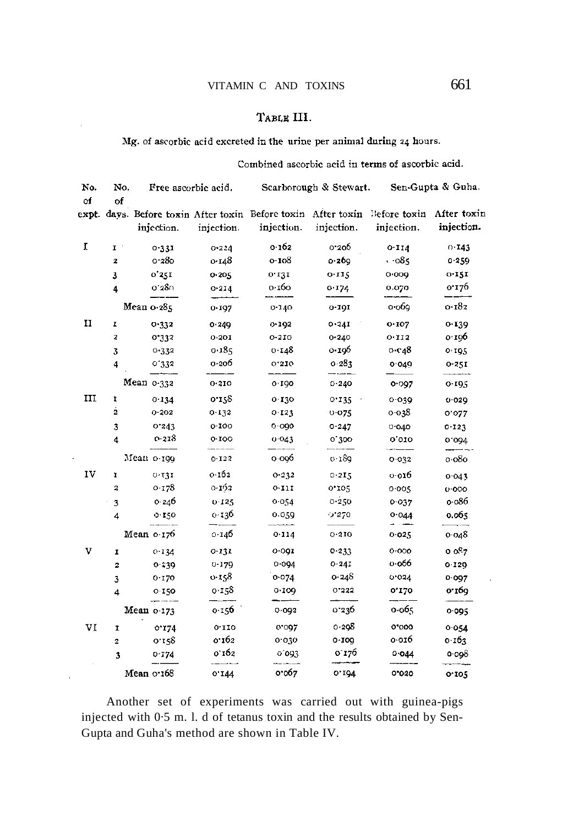# TABLE III.

Mg. of ascorbic acid excreted in the urine per animal during 24 hours.  $\mathbb{Z}$ 

|             |              |                     |            | Combined ascorbic acid in terms of ascorbic acid. |           |                                                                                                      |            |  |
|-------------|--------------|---------------------|------------|---------------------------------------------------|-----------|------------------------------------------------------------------------------------------------------|------------|--|
| No.<br>of   | No.<br>of    | Free ascorbic acid. |            | Scarborough & Stewart. Sen-Gupta & Guha.          |           |                                                                                                      |            |  |
|             |              | injection.          | injection. | injection. injection.                             |           | expt. days. Before toxin After toxin Before toxin After toxin Before toxin After toxin<br>injection. | injection. |  |
| I           | $\mathbf{I}$ | 0.331               | 0.224      | 0.162                                             | 0.206     | $0 - 114$                                                                                            | 0.143      |  |
|             | 2            | 0.280               | 0.148      | 0.108                                             | 0.269     | $\cdot$ -085                                                                                         | 0.259      |  |
|             | 3            | 0'251               | 0.205      | 0.131                                             | 0.115     | 0.009                                                                                                | 0.151      |  |
|             | 4            | 0.380               | 0.214      | 0.160                                             | 0.174     | 0.070                                                                                                | 0.176      |  |
|             |              | Mean 0.285          | 0.197      | 0.140                                             | $0 - 191$ | 0.069                                                                                                | 0.182      |  |
| $_{\rm II}$ | I            | 0.332               | 0.249      | 0.192                                             | 0.24I     | 0.107                                                                                                | 0.139      |  |
|             | 2            | 0'332               | 0.201      | $0 - 210$                                         | 0.240     | 0.112                                                                                                | 0.196      |  |
|             | 3            | 0.332               | 0.185      | 0.148                                             | 0.196     | 0.648                                                                                                | 0.195      |  |
|             | 4            | 0'332               | 0.206      | 0.210                                             | 0.283     | 0.049                                                                                                | 0.251      |  |
|             |              | Mean $0.332$        | 0.310      | 0.190                                             | 0.240     | 0.097                                                                                                | 0.195      |  |
| III         | 1            | 0.134               | 0.158      | 0.130                                             | 0.135     | 0.039                                                                                                | 0.029      |  |
|             | 2            | $0 - 202$           | 0.132      | 0.123                                             | 0.075     | o-038                                                                                                | 0.022      |  |
|             | 3            | 0.243               | 0.100      | 0.090                                             | 0.247     | $0 - 040$                                                                                            | $0 - 123$  |  |
|             | 4            | 0-218               | 0.100      | 0.043                                             | 0.300     | 0,010                                                                                                | 0.094      |  |
|             |              | Mean o-199          | 0.122      | 0.006                                             | o 189     | 0.032                                                                                                | o 080      |  |
| 1V          | 1            | 0.131               | 0.162      | 0.232                                             | 0.215     | 0.016                                                                                                | 0.043      |  |
|             | 2            | 0.178               | 0.192      | 0.111                                             | 0.105     | 0.005                                                                                                | 0.000      |  |
|             | 3            | 0.246               | 0.125      | 0.054                                             | 0.250     | 0.037                                                                                                | o.o86      |  |
|             | 4            | 0.150               | 0.136      | 0.059                                             | 0.270     | 0.044                                                                                                | 0.065      |  |
|             |              | Mean $0.176$        | 0.146      | 0.114                                             | 0.210     | 0.025                                                                                                | 0.048      |  |
| v           | I            | 0.134               | 0.131      | 0.091                                             | 0.233     | 0.000                                                                                                | 0.087      |  |
|             | 2            | 0.239               | 0.179      | 0.094                                             | 0.241     | 0.066                                                                                                | $0 - 129$  |  |
|             | 3            | 0.170               | 0.158      | 0.074                                             | 0.248     | 0.024                                                                                                | 0.097      |  |
|             | 4            | 0.150               | 0.158      | 0.109                                             | 0.332     | 0.120                                                                                                | 0.169      |  |
|             |              | Mean 0.173          | 0.156      | 0.092                                             | 0.236     | 0.065                                                                                                | 0.095      |  |
| VI          | I.           | 0.174               | 0.110      | 0.097                                             | 0.298     | 0'000                                                                                                | 0.054      |  |
|             | 2            | 0.158               | 0.162      | 0.030                                             | 0.109     | о отб                                                                                                | 0.163      |  |
|             | 3            | 0.174               | 0.162      | 0.093                                             | 0.176     | 0.044                                                                                                | $0 - 098$  |  |
|             |              | Mean o.168          | 0.144      | 0.067                                             | 0.194     | 0'020                                                                                                | 0.105      |  |

 $\bar{z}$ 

 $\bar{z}$ 

Another set of experiments was carried out with guinea-pigs injected with 0·5 m. l. d of tetanus toxin and the results obtained by Sen-Gupta and Guha's method are shown in Table IV.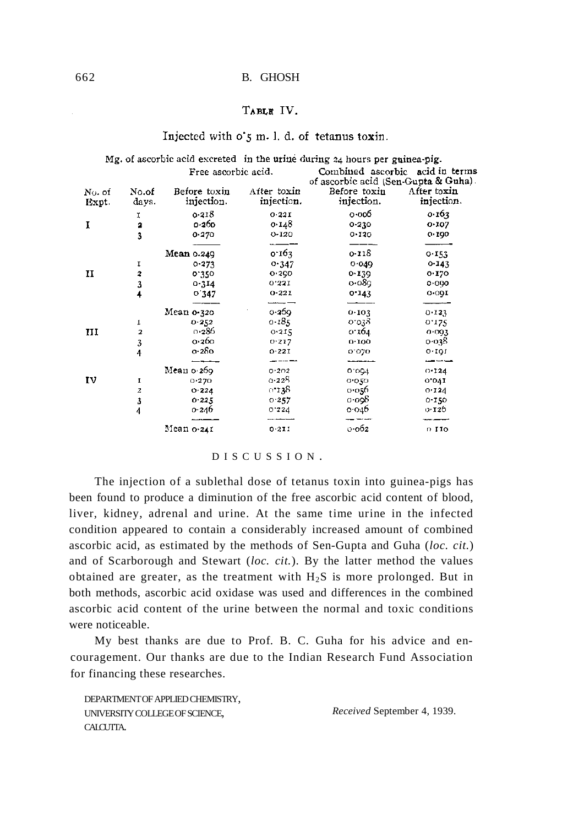#### 662 B. GHOSH

#### TABLE IV.

 $\mathbb{R}^2$ 

|        |                         |                     |             | Mg. of ascorbic acid excreted $\ln$ the urine during 24 hours per guinea-pig. |             |
|--------|-------------------------|---------------------|-------------|-------------------------------------------------------------------------------|-------------|
|        |                         | Free ascorbic acid. |             | Combined ascorbic acid in terms<br>of ascorbic acid (Sen-Gupta & Guha).       |             |
| No. of | No.of                   | Before toxin        | After toxin | Before toxin                                                                  | After toxin |
| Expt.  | days.                   | injection.          | injection.  | injection.                                                                    | injection.  |
|        | Ι.                      | 0.218               | 0.221       | 0.006                                                                         | 0.163       |
| I      | 2                       | 0.260               | 0.148       | $0 - 230$                                                                     | 0.107       |
|        | 3                       | 0.270               | 0-120       | 0.120                                                                         | 0.190       |
|        |                         |                     |             |                                                                               |             |
|        |                         | Mean 0.249          | 0.163       | 0.118                                                                         | 0.153       |
|        | 1                       | 0.273               | 0.347       | 0.049                                                                         | 0.143       |
| H      | 2                       | 0.350               | 0.250       | 0.139                                                                         | 0.170       |
|        | 3                       | 0.314               | 0.331       | o∙o8g.                                                                        | 0.090       |
|        | 4                       | 0'347               | 0.221       | 0.143                                                                         | 0.001       |
|        |                         | Mean 0-320          | 0.269       | 0.103                                                                         | 0.123       |
|        | I                       | 0.252               | 0.185       | 01038                                                                         | 0.175       |
| III    | $\overline{\mathbf{z}}$ | o 286               | 0.215       | 0.164                                                                         | 0.093       |
|        | 3                       | 0.260               | 0.217       | 0.100                                                                         | 0.038       |
|        | 4                       | 0-280               | 0.221       | 0.020                                                                         | 0.101       |
|        |                         |                     |             |                                                                               |             |
|        |                         | Mean o 269.         | 0.202       | 0.004                                                                         | 0.124       |
| IV     | 1                       | 0.270               | 0.228       | 0.050                                                                         | 0.041       |
|        | 2                       | $O-224$             | ი•138.      | ი იჯრ                                                                         | 0.124       |
|        | 3                       | 0.225               | 0.257       | 0.098                                                                         | $0 - 150$   |
|        | 4                       | 0.246               | 0.224       | 0.046                                                                         | 0.120       |
|        |                         | Mean o•241          | 0.211       | 0.062                                                                         | $0$ IIO     |
|        |                         |                     |             |                                                                               |             |

#### Injected with o's m. l. d. of tetanus toxin.

#### DISCUSSION .

The injection of a sublethal dose of tetanus toxin into guinea-pigs has been found to produce a diminution of the free ascorbic acid content of blood, liver, kidney, adrenal and urine. At the same time urine in the infected condition appeared to contain a considerably increased amount of combined ascorbic acid, as estimated by the methods of Sen-Gupta and Guha (*loc. cit.*) and of Scarborough and Stewart (*loc. cit.*). By the latter method the values obtained are greater, as the treatment with  $H_2S$  is more prolonged. But in both methods, ascorbic acid oxidase was used and differences in the combined ascorbic acid content of the urine between the normal and toxic conditions were noticeable.

My best thanks are due to Prof. B. C. Guha for his advice and encouragement. Our thanks are due to the Indian Research Fund Association for financing these researches.

DEPARTMENT OF APPLIED CHEMISTRY, UNIVERSITY COLLEGE OF SCIENCE, CALCUTTA.

*Received* September 4, 1939.

 $\overline{a}$ 

 $\ddot{\phantom{a}}$